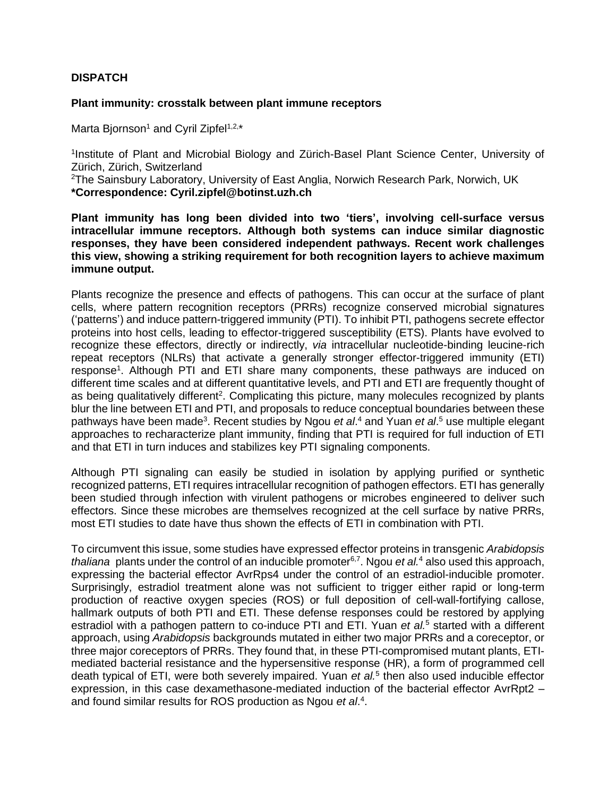## **DISPATCH**

## **Plant immunity: crosstalk between plant immune receptors**

Marta Bjornson<sup>1</sup> and Cyril Zipfel<sup>1,2,\*</sup>

<sup>1</sup>Institute of Plant and Microbial Biology and Zürich-Basel Plant Science Center, University of Zürich, Zürich, Switzerland

<sup>2</sup>The Sainsbury Laboratory, University of East Anglia, Norwich Research Park, Norwich, UK **\*Correspondence: Cyril.zipfel@botinst.uzh.ch**

**Plant immunity has long been divided into two 'tiers', involving cell-surface versus intracellular immune receptors. Although both systems can induce similar diagnostic responses, they have been considered independent pathways. Recent work challenges this view, showing a striking requirement for both recognition layers to achieve maximum immune output.**

Plants recognize the presence and effects of pathogens. This can occur at the surface of plant cells, where pattern recognition receptors (PRRs) recognize conserved microbial signatures ('patterns') and induce pattern-triggered immunity (PTI). To inhibit PTI, pathogens secrete effector proteins into host cells, leading to effector-triggered susceptibility (ETS). Plants have evolved to recognize these effectors, directly or indirectly, *via* intracellular nucleotide-binding leucine-rich repeat receptors (NLRs) that activate a generally stronger effector-triggered immunity (ETI) response<sup>1</sup>. Although PTI and ETI share many components, these pathways are induced on different time scales and at different quantitative levels, and PTI and ETI are frequently thought of as being qualitatively different<sup>2</sup>. Complicating this picture, many molecules recognized by plants blur the line between ETI and PTI, and proposals to reduce conceptual boundaries between these pathways have been made<sup>3</sup>. Recent studies by Ngou *et al*.<sup>4</sup> and Yuan *et al*.<sup>5</sup> use multiple elegant approaches to recharacterize plant immunity, finding that PTI is required for full induction of ETI and that ETI in turn induces and stabilizes key PTI signaling components.

Although PTI signaling can easily be studied in isolation by applying purified or synthetic recognized patterns, ETI requires intracellular recognition of pathogen effectors. ETI has generally been studied through infection with virulent pathogens or microbes engineered to deliver such effectors. Since these microbes are themselves recognized at the cell surface by native PRRs, most ETI studies to date have thus shown the effects of ETI in combination with PTI.

To circumvent this issue, some studies have expressed effector proteins in transgenic *Arabidopsis* thaliana plants under the control of an inducible promoter<sup>6,7</sup>. Ngou *et al.<sup>4</sup>* also used this approach, expressing the bacterial effector AvrRps4 under the control of an estradiol-inducible promoter. Surprisingly, estradiol treatment alone was not sufficient to trigger either rapid or long-term production of reactive oxygen species (ROS) or full deposition of cell-wall-fortifying callose, hallmark outputs of both PTI and ETI. These defense responses could be restored by applying estradiol with a pathogen pattern to co-induce PTI and ETI. Yuan *et al.<sup>5</sup>* started with a different approach, using *Arabidopsis* backgrounds mutated in either two major PRRs and a coreceptor, or three major coreceptors of PRRs. They found that, in these PTI-compromised mutant plants, ETImediated bacterial resistance and the hypersensitive response (HR), a form of programmed cell death typical of ETI, were both severely impaired. Yuan *et al.*<sup>5</sup> then also used inducible effector expression, in this case dexamethasone-mediated induction of the bacterial effector AvrRpt2 – and found similar results for ROS production as Ngou *et al*. 4 .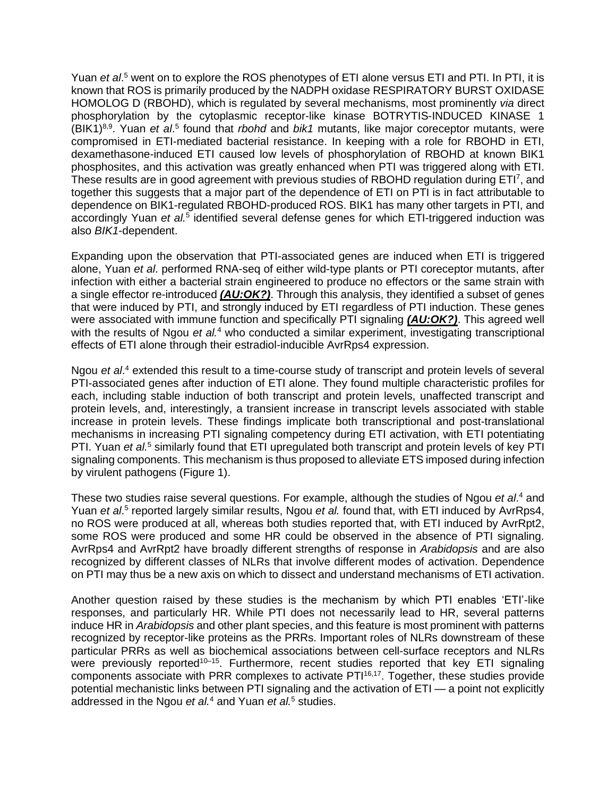Yuan *et al*. <sup>5</sup> went on to explore the ROS phenotypes of ETI alone versus ETI and PTI. In PTI, it is known that ROS is primarily produced by the NADPH oxidase RESPIRATORY BURST OXIDASE HOMOLOG D (RBOHD), which is regulated by several mechanisms, most prominently *via* direct phosphorylation by the cytoplasmic receptor-like kinase BOTRYTIS-INDUCED KINASE 1 (BIK1)<sup>8,9</sup>. Yuan *et al.*<sup>5</sup> found that *rbohd* and *bik1* mutants, like major coreceptor mutants, were compromised in ETI-mediated bacterial resistance. In keeping with a role for RBOHD in ETI, dexamethasone-induced ETI caused low levels of phosphorylation of RBOHD at known BIK1 phosphosites, and this activation was greatly enhanced when PTI was triggered along with ETI. These results are in good agreement with previous studies of RBOHD regulation during ETI<sup>7</sup>, and together this suggests that a major part of the dependence of ETI on PTI is in fact attributable to dependence on BIK1-regulated RBOHD-produced ROS. BIK1 has many other targets in PTI, and accordingly Yuan et al.<sup>5</sup> identified several defense genes for which ETI-triggered induction was also *BIK1*-dependent.

Expanding upon the observation that PTI-associated genes are induced when ETI is triggered alone, Yuan *et al*. performed RNA-seq of either wild-type plants or PTI coreceptor mutants, after infection with either a bacterial strain engineered to produce no effectors or the same strain with a single effector re-introduced *(AU:OK?)*. Through this analysis, they identified a subset of genes that were induced by PTI, and strongly induced by ETI regardless of PTI induction. These genes were associated with immune function and specifically PTI signaling *(AU:OK?)*. This agreed well with the results of Ngou *et al.<sup>4</sup>* who conducted a similar experiment, investigating transcriptional effects of ETI alone through their estradiol-inducible AvrRps4 expression.

Ngou *et al*. <sup>4</sup> extended this result to a time-course study of transcript and protein levels of several PTI-associated genes after induction of ETI alone. They found multiple characteristic profiles for each, including stable induction of both transcript and protein levels, unaffected transcript and protein levels, and, interestingly, a transient increase in transcript levels associated with stable increase in protein levels. These findings implicate both transcriptional and post-translational mechanisms in increasing PTI signaling competency during ETI activation, with ETI potentiating PTI. Yuan *et al.*<sup>5</sup> similarly found that ETI upregulated both transcript and protein levels of key PTI signaling components. This mechanism is thus proposed to alleviate ETS imposed during infection by virulent pathogens (Figure 1).

These two studies raise several questions. For example, although the studies of Ngou *et al*. <sup>4</sup> and Yuan et al.<sup>5</sup> reported largely similar results, Ngou et al. found that, with ETI induced by AvrRps4, no ROS were produced at all, whereas both studies reported that, with ETI induced by AvrRpt2, some ROS were produced and some HR could be observed in the absence of PTI signaling. AvrRps4 and AvrRpt2 have broadly different strengths of response in *Arabidopsis* and are also recognized by different classes of NLRs that involve different modes of activation. Dependence on PTI may thus be a new axis on which to dissect and understand mechanisms of ETI activation.

Another question raised by these studies is the mechanism by which PTI enables 'ETI'-like responses, and particularly HR. While PTI does not necessarily lead to HR, several patterns induce HR in *Arabidopsis* and other plant species, and this feature is most prominent with patterns recognized by receptor-like proteins as the PRRs. Important roles of NLRs downstream of these particular PRRs as well as biochemical associations between cell-surface receptors and NLRs were previously reported<sup>10-15</sup>. Furthermore, recent studies reported that key ETI signaling components associate with PRR complexes to activate PTI16,17. Together, these studies provide potential mechanistic links between PTI signaling and the activation of ETI — a point not explicitly addressed in the Ngou *et al.*<sup>4</sup> and Yuan *et al.*<sup>5</sup> studies.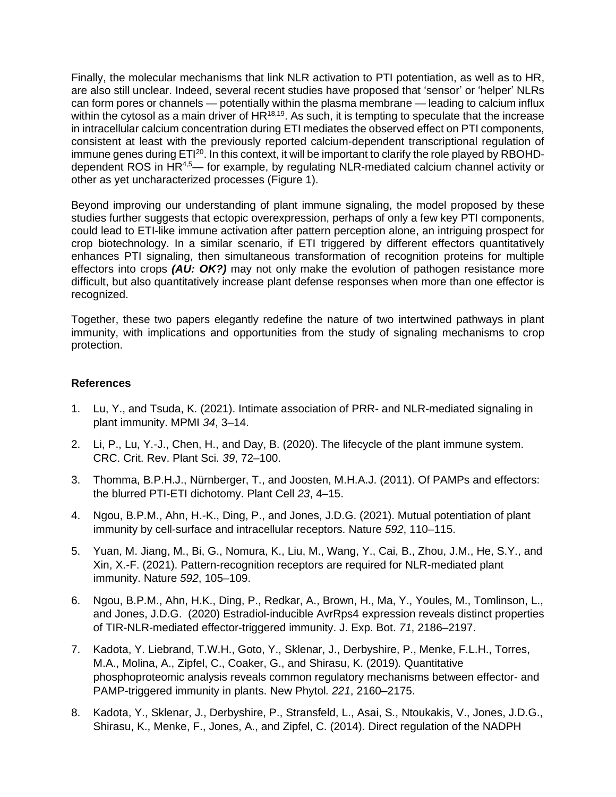Finally, the molecular mechanisms that link NLR activation to PTI potentiation, as well as to HR, are also still unclear. Indeed, several recent studies have proposed that 'sensor' or 'helper' NLRs can form pores or channels — potentially within the plasma membrane — leading to calcium influx within the cytosol as a main driver of  $HR^{18,19}$ . As such, it is tempting to speculate that the increase in intracellular calcium concentration during ETI mediates the observed effect on PTI components, consistent at least with the previously reported calcium-dependent transcriptional regulation of immune genes during ETI<sup>20</sup>. In this context, it will be important to clarify the role played by RBOHDdependent ROS in HR4,5— for example, by regulating NLR-mediated calcium channel activity or other as yet uncharacterized processes (Figure 1).

Beyond improving our understanding of plant immune signaling, the model proposed by these studies further suggests that ectopic overexpression, perhaps of only a few key PTI components, could lead to ETI-like immune activation after pattern perception alone, an intriguing prospect for crop biotechnology. In a similar scenario, if ETI triggered by different effectors quantitatively enhances PTI signaling, then simultaneous transformation of recognition proteins for multiple effectors into crops *(AU: OK?)* may not only make the evolution of pathogen resistance more difficult, but also quantitatively increase plant defense responses when more than one effector is recognized.

Together, these two papers elegantly redefine the nature of two intertwined pathways in plant immunity, with implications and opportunities from the study of signaling mechanisms to crop protection.

## **References**

- 1. Lu, Y., and Tsuda, K. (2021). Intimate association of PRR- and NLR-mediated signaling in plant immunity. MPMI *34*, 3–14.
- 2. Li, P., Lu, Y.-J., Chen, H., and Day, B. (2020). The lifecycle of the plant immune system. CRC. Crit. Rev. Plant Sci. *39*, 72–100.
- 3. Thomma, B.P.H.J., Nürnberger, T., and Joosten, M.H.A.J. (2011). Of PAMPs and effectors: the blurred PTI-ETI dichotomy. Plant Cell *23*, 4–15.
- 4. Ngou, B.P.M., Ahn, H.-K., Ding, P., and Jones, J.D.G. (2021). Mutual potentiation of plant immunity by cell-surface and intracellular receptors. Nature *592*, 110–115.
- 5. Yuan, M. Jiang, M., Bi, G., Nomura, K., Liu, M., Wang, Y., Cai, B., Zhou, J.M., He, S.Y., and Xin, X.-F. (2021). Pattern-recognition receptors are required for NLR-mediated plant immunity. Nature *592*, 105–109.
- 6. Ngou, B.P.M., Ahn, H.K., Ding, P., Redkar, A., Brown, H., Ma, Y., Youles, M., Tomlinson, L., and Jones, J.D.G. (2020) Estradiol-inducible AvrRps4 expression reveals distinct properties of TIR-NLR-mediated effector-triggered immunity. J. Exp. Bot. *71*, 2186–2197.
- 7. Kadota, Y. Liebrand, T.W.H., Goto, Y., Sklenar, J., Derbyshire, P., Menke, F.L.H., Torres, M.A., Molina, A., Zipfel, C., Coaker, G., and Shirasu, K. (2019)*.* Quantitative phosphoproteomic analysis reveals common regulatory mechanisms between effector- and PAMP-triggered immunity in plants. New Phytol*. 221*, 2160–2175.
- 8. Kadota, Y., Sklenar, J., Derbyshire, P., Stransfeld, L., Asai, S., Ntoukakis, V., Jones, J.D.G., Shirasu, K., Menke, F., Jones, A., and Zipfel, C. (2014). Direct regulation of the NADPH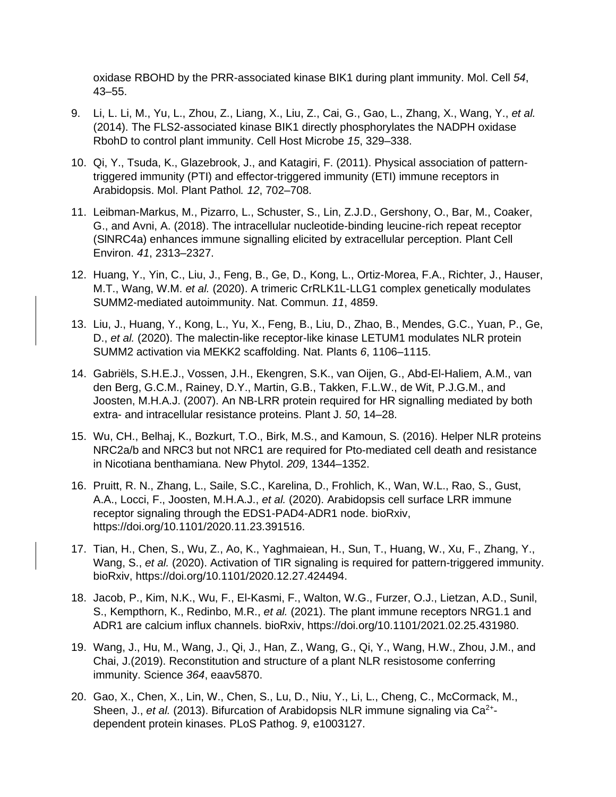oxidase RBOHD by the PRR-associated kinase BIK1 during plant immunity. Mol. Cell *54*, 43–55.

- 9. Li, L. Li, M., Yu, L., Zhou, Z., Liang, X., Liu, Z., Cai, G., Gao, L., Zhang, X., Wang, Y., *et al.* (2014). The FLS2-associated kinase BIK1 directly phosphorylates the NADPH oxidase RbohD to control plant immunity. Cell Host Microbe *15*, 329–338.
- 10. Qi, Y., Tsuda, K., Glazebrook, J., and Katagiri, F. (2011). Physical association of patterntriggered immunity (PTI) and effector-triggered immunity (ETI) immune receptors in Arabidopsis. Mol. Plant Pathol*. 12*, 702–708.
- 11. Leibman-Markus, M., Pizarro, L., Schuster, S., Lin, Z.J.D., Gershony, O., Bar, M., Coaker, G., and Avni, A. (2018). The intracellular nucleotide-binding leucine-rich repeat receptor (SlNRC4a) enhances immune signalling elicited by extracellular perception. Plant Cell Environ. *41*, 2313–2327.
- 12. Huang, Y., Yin, C., Liu, J., Feng, B., Ge, D., Kong, L., Ortiz-Morea, F.A., Richter, J., Hauser, M.T., Wang, W.M. *et al.* (2020). A trimeric CrRLK1L-LLG1 complex genetically modulates SUMM2-mediated autoimmunity. Nat. Commun. *11*, 4859.
- 13. Liu, J., Huang, Y., Kong, L., Yu, X., Feng, B., Liu, D., Zhao, B., Mendes, G.C., Yuan, P., Ge, D., *et al.* (2020). The malectin-like receptor-like kinase LETUM1 modulates NLR protein SUMM2 activation via MEKK2 scaffolding. Nat. Plants *6*, 1106–1115.
- 14. Gabriëls, S.H.E.J., Vossen, J.H., Ekengren, S.K., van Oijen, G., Abd-El-Haliem, A.M., van den Berg, G.C.M., Rainey, D.Y., Martin, G.B., Takken, F.L.W., de Wit, P.J.G.M., and Joosten, M.H.A.J. (2007). An NB-LRR protein required for HR signalling mediated by both extra- and intracellular resistance proteins. Plant J. *50*, 14–28.
- 15. Wu, CH., Belhaj, K., Bozkurt, T.O., Birk, M.S., and Kamoun, S. (2016). Helper NLR proteins NRC2a/b and NRC3 but not NRC1 are required for Pto-mediated cell death and resistance in Nicotiana benthamiana. New Phytol. *209*, 1344–1352.
- 16. Pruitt, R. N., Zhang, L., Saile, S.C., Karelina, D., Frohlich, K., Wan, W.L., Rao, S., Gust, A.A., Locci, F., Joosten, M.H.A.J., *et al.* (2020). Arabidopsis cell surface LRR immune receptor signaling through the EDS1-PAD4-ADR1 node. bioRxiv, https://doi.org/10.1101/2020.11.23.391516.
- 17. Tian, H., Chen, S., Wu, Z., Ao, K., Yaghmaiean, H., Sun, T., Huang, W., Xu, F., Zhang, Y., Wang, S., *et al.* (2020). Activation of TIR signaling is required for pattern-triggered immunity. bioRxiv, https://doi.org/10.1101/2020.12.27.424494.
- 18. Jacob, P., Kim, N.K., Wu, F., El-Kasmi, F., Walton, W.G., Furzer, O.J., Lietzan, A.D., Sunil, S., Kempthorn, K., Redinbo, M.R., *et al.* (2021). The plant immune receptors NRG1.1 and ADR1 are calcium influx channels. bioRxiv, https://doi.org/10.1101/2021.02.25.431980.
- 19. Wang, J., Hu, M., Wang, J., Qi, J., Han, Z., Wang, G., Qi, Y., Wang, H.W., Zhou, J.M., and Chai, J.(2019). Reconstitution and structure of a plant NLR resistosome conferring immunity. Science *364*, eaav5870.
- 20. Gao, X., Chen, X., Lin, W., Chen, S., Lu, D., Niu, Y., Li, L., Cheng, C., McCormack, M., Sheen, J., et al. (2013). Bifurcation of Arabidopsis NLR immune signaling via Ca<sup>2+</sup>dependent protein kinases. PLoS Pathog. *9*, e1003127.